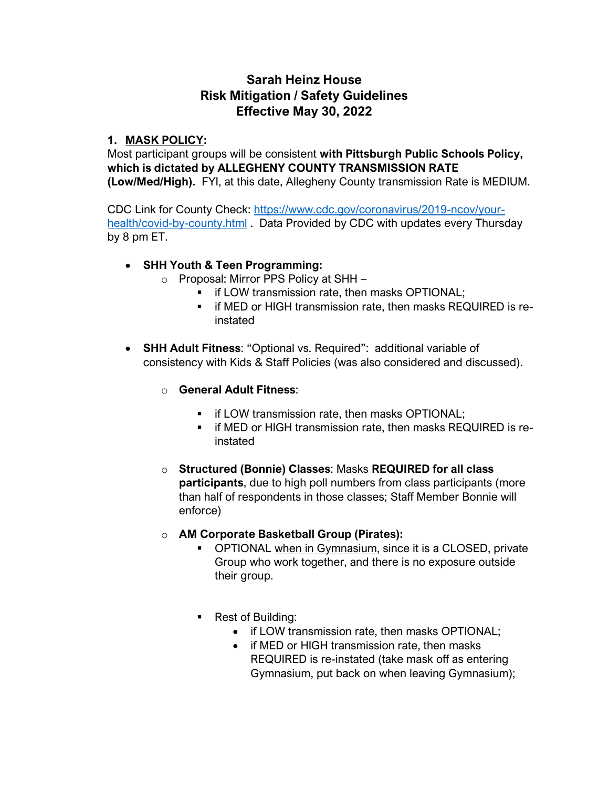# **Sarah Heinz House Risk Mitigation / Safety Guidelines Effective May 30, 2022**

#### **1. MASK POLICY:**

Most participant groups will be consistent **with Pittsburgh Public Schools Policy, which is dictated by ALLEGHENY COUNTY TRANSMISSION RATE (Low/Med/High).** FYI, at this date, Allegheny County transmission Rate is MEDIUM.

CDC Link for County Check: [https://www.cdc.gov/coronavirus/2019-ncov/your](https://www.cdc.gov/coronavirus/2019-ncov/your-health/covid-by-county.html)[health/covid-by-county.html](https://www.cdc.gov/coronavirus/2019-ncov/your-health/covid-by-county.html) . Data Provided by CDC with updates every Thursday by 8 pm ET.

# • **SHH Youth & Teen Programming:**

- o Proposal: Mirror PPS Policy at SHH
	- **•** if LOW transmission rate, then masks OPTIONAL;
	- **.** if MED or HIGH transmission rate, then masks REQUIRED is reinstated
- **SHH Adult Fitness**: "Optional vs. Required": additional variable of consistency with Kids & Staff Policies (was also considered and discussed).

# o **General Adult Fitness**:

- **•** if LOW transmission rate, then masks OPTIONAL;
- **.** if MED or HIGH transmission rate, then masks REQUIRED is reinstated
- o **Structured (Bonnie) Classes**: Masks **REQUIRED for all class participants**, due to high poll numbers from class participants (more than half of respondents in those classes; Staff Member Bonnie will enforce)
- o **AM Corporate Basketball Group (Pirates):** 
	- **OPTIONAL when in Gymnasium, since it is a CLOSED, private** Group who work together, and there is no exposure outside their group.
	- Rest of Building:
		- if LOW transmission rate, then masks OPTIONAL;
		- if MED or HIGH transmission rate, then masks REQUIRED is re-instated (take mask off as entering Gymnasium, put back on when leaving Gymnasium);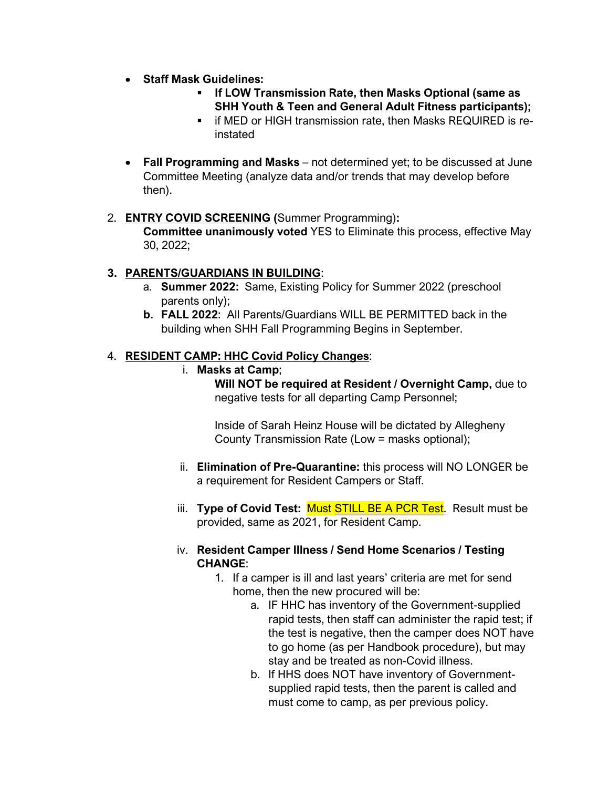- **Staff Mask Guidelines:** 
	- **If LOW Transmission Rate, then Masks Optional (same as SHH Youth & Teen and General Adult Fitness participants);**
	- **E** if MED or HIGH transmission rate, then Masks REQUIRED is reinstated
- **Fall Programming and Masks** not determined yet; to be discussed at June Committee Meeting (analyze data and/or trends that may develop before then).

#### 2. **ENTRY COVID SCREENING (**Summer Programming)**: Committee unanimously voted** YES to Eliminate this process, effective May 30, 2022;

# **3. PARENTS/GUARDIANS IN BUILDING**:

- a. **Summer 2022:** Same, Existing Policy for Summer 2022 (preschool parents only);
- **b. FALL 2022**: All Parents/Guardians WILL BE PERMITTED back in the building when SHH Fall Programming Begins in September.

# 4. **RESIDENT CAMP: HHC Covid Policy Changes**:

i. **Masks at Camp**;

**Will NOT be required at Resident / Overnight Camp,** due to negative tests for all departing Camp Personnel;

Inside of Sarah Heinz House will be dictated by Allegheny County Transmission Rate (Low = masks optional);

- ii. **Elimination of Pre-Quarantine:** this process will NO LONGER be a requirement for Resident Campers or Staff.
- iii. **Type of Covid Test:** Must STILL BE A PCR Test. Result must be provided, same as 2021, for Resident Camp.

# iv. **Resident Camper Illness / Send Home Scenarios / Testing CHANGE**:

- 1. If a camper is ill and last years' criteria are met for send home, then the new procured will be:
	- a. IF HHC has inventory of the Government-supplied rapid tests, then staff can administer the rapid test; if the test is negative, then the camper does NOT have to go home (as per Handbook procedure), but may stay and be treated as non-Covid illness.
	- b. If HHS does NOT have inventory of Governmentsupplied rapid tests, then the parent is called and must come to camp, as per previous policy.